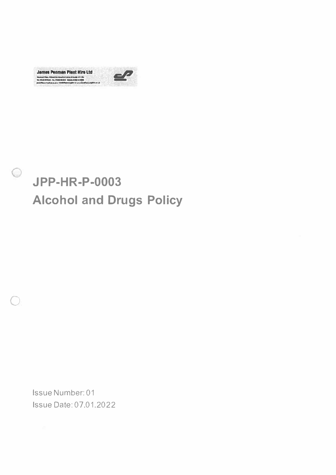

Œ



Issue Number: 01 **Issue Date: 07.01.2022**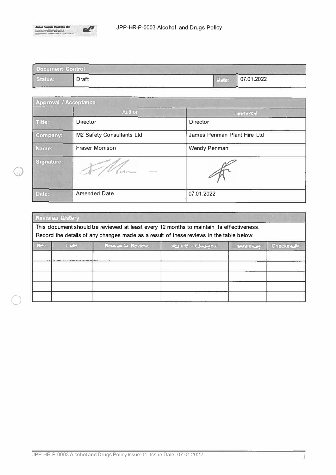

| Document Control<br>Western Controllers Made<br>the property of the control of the con-<br>---- |       |       |            |  |  |
|-------------------------------------------------------------------------------------------------|-------|-------|------------|--|--|
| Status:<br><b>Contract Contract Only 1989</b>                                                   | Draft | Date: | 07.01.2022 |  |  |

| <b>Approval / Acceptance</b> |                                      |                             |  |  |
|------------------------------|--------------------------------------|-----------------------------|--|--|
|                              | <b>Author</b>                        | mpproved                    |  |  |
| Title:                       | <b>Director</b>                      | <b>Director</b>             |  |  |
| Company:                     | M2 Safety Consultants Ltd            | James Penman Plant Hire Ltd |  |  |
| Name:                        | <b>Fraser Morrison</b>               | <b>Wendy Penman</b>         |  |  |
| Signature:                   | brasilasi mamor<br><b>STATISTICS</b> |                             |  |  |
| Date:                        | <b>Amended Date</b>                  | 07.01.2022                  |  |  |

| Revision History<br>This document should be reviewed at least every 12 months to maintain its effectiveness.<br>Record the details of any changes made as a result of these reviews in the table below: |                          |  |  |  |  |  |  |
|---------------------------------------------------------------------------------------------------------------------------------------------------------------------------------------------------------|--------------------------|--|--|--|--|--|--|
|                                                                                                                                                                                                         |                          |  |  |  |  |  |  |
|                                                                                                                                                                                                         | <b>CARDIO CONTRACTOR</b> |  |  |  |  |  |  |
|                                                                                                                                                                                                         |                          |  |  |  |  |  |  |
|                                                                                                                                                                                                         |                          |  |  |  |  |  |  |
|                                                                                                                                                                                                         |                          |  |  |  |  |  |  |
|                                                                                                                                                                                                         |                          |  |  |  |  |  |  |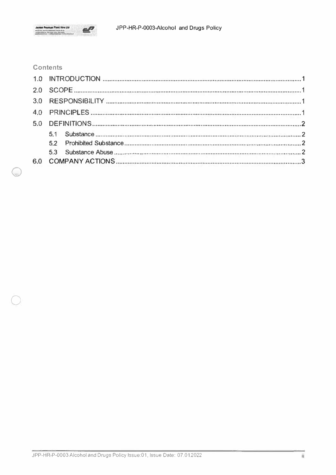

## **Contents**

n,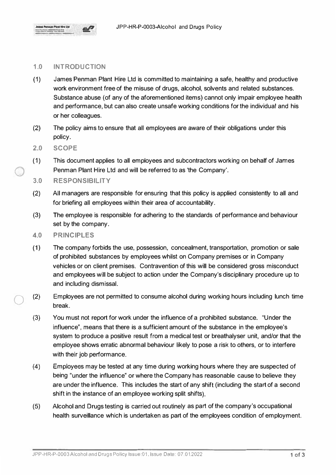

## **1.0 INTRODUCTION**

- (1) James Penman Plant Hire Ltd is committed to maintaining a safe, healthy and productive work environment free of the misuse of drugs, alcohol, solvents and related substances. Substance abuse (of any of the aforementioned items) cannot only impair employee health and performance, but can also create unsafe working conditions for the individual and his or her colleagues.
- (2) The policy aims to ensure that all employees are aware of their obligations under this policy.
- **2.0 SCOPE**

0

- (1) This document applies to all employees and subcontractors working on behalf of James Penman Plant Hire Ltd and will be referred to as 'the Company'.
- **3.0 RESPONSIBILITY**
- (2) All managers are responsible for ensuring that this policy is applied consistently to all and for briefing all employees within their area of accountability.
- (3) The employee is responsible for adhering to the standards of performance and behaviour set by the company.
- **4.0 PRINCIPLES**
- (1) The company forbids the use, possession, concealment, transportation, promotion or sale of prohibited substances by employees whilst on Company premises or in Company vehicles or on client premises. Contravention of this will be considered gross misconduct and employees will be subject to action under the Company's disciplinary procedure up to and including dismissal.
- 0 (2) Employees are not permitted to consume alcohol during working hours including lunch time break.
	- (3) You must not report for work under the influence of a prohibited substance. "Under the influence", means that there is a sufficient amount of the substance in the employee's system to produce a positive result from a medical test or breathalyser unit, and/or that the employee shows erratic abnormal behaviour likely to pose a risk to others, or to interfere with their job performance.
	- (4) Employees may be tested at any time during working hours where they are suspected of being "under the influence" or where the Company has reasonable cause to believe they are under the influence. This includes the start of any shift (including the start of a second shift in the instance of an employee working split shifts).
	- (5) Alcohol and Drugs testing is carried out routinely as part of the company's occupational health surveillance which is undertaken as part of the employees condition of employment.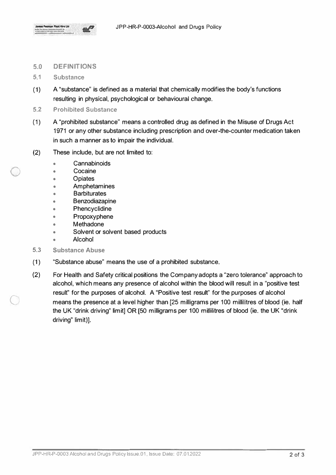

## **5.0 DEFINITIONS**

- 5.1 Substance
- (1) A "substance" is defined as a material that chemically modifies the body's functions resulting in physical, psychological or behavioural change.
- **5.2 Prohibited Substance**
- (1) A "prohibited substance" means a controlled drug as defined in the Misuse of Drugs Act 1971 or any other substance including prescription and over-the-counter medication taken in such a manner as to impair the individual.
- (2) These include, but are not limited to:
	- Cannabinoids
	- Cocaine
	- Opiates

 $\bigcirc$ 

 $\subset$ 

- •**Amphetamines**
- •**Barbiturates**
- •Benzodiazapine
- •Phencyclidine
- •Propoxyphene
- •Methadone
- •Solvent or solvent based products
- •Alcohol
- **5.3 Substance Abuse**
- (1) "Substance abuse" means the use of a prohibited substance.
- (2) For Health and Safety critical positions the Company adopts a "zero tolerance" approach to alcohol, which means any presence of alcohol within the blood will result in a "positive test result" for the purposes of alcohol. A "Positive test result" for the purposes of alcohol means the presence at a level higher than [25 milligrams per 100 millilitres of blood (ie. half the UK "drink driving" limit] OR [50 milligrams per 100 millilitres of blood (ie. the UK "drink driving" limit)].